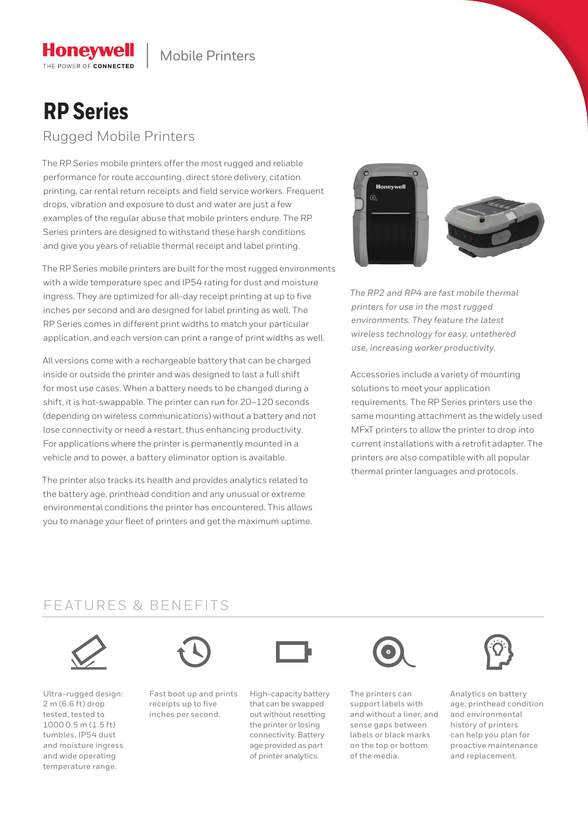# **RP Series**

**Honevwell** THE POWER OF CONNECTED

Rugged Mobile Printers

The RP Series mobile printers offer the most rugged and reliable performance for route accounting, direct store delivery, citation printing, car rental return receipts and field service workers. Frequent drops, vibration and exposure to dust and water are just a few examples of the regular abuse that mobile printers endure. The RP Series printers are designed to withstand these harsh conditions and give you years of reliable thermal receipt and label printing.

The RP Series mobile printers are built for the most rugged environments with a wide temperature spec and IP54 rating for dust and moisture ingress. They are optimized for all-day receipt printing at up to five inches per second and are designed for label printing as well. The RP Series comes in different print widths to match your particular application, and each version can print a range of print widths as well.

All versions come with a rechargeable battery that can be charged inside or outside the printer and was designed to last a full shift for most use cases. When a battery needs to be changed during a shift, it is hot-swappable. The printer can run for 20–120 seconds (depending on wireless communications) without a battery and not lose connectivity or need a restart, thus enhancing productivity. For applications where the printer is permanently mounted in a vehicle and to power, a battery eliminator option is available.

The printer also tracks its health and provides analytics related to the battery age, printhead condition and any unusual or extreme environmental conditions the printer has encountered. This allows you to manage your fleet of printers and get the maximum uptime.



*The RP2 and RP4 are fast mobile thermal printers for use in the most rugged environments. They feature the latest wireless technology for easy, untethered use, increasing worker productivity.*

Accessories include a variety of mounting solutions to meet your application requirements. The RP Series printers use the same mounting attachment as the widely used MFxT printers to allow the printer to drop into current installations with a retrofit adapter. The printers are also compatible with all popular thermal printer languages and protocols.

# FEATURES & BENEFITS



Ultra-rugged design: 2 m (6.6 ft) drop tested, tested to 1000 0.5 m (1.5 ft) tumbles, IP54 dust and moisture ingress and wide operating temperature range.



Fast boot up and prints receipts up to five inches per second.



High-capacity battery that can be swapped out without resetting the printer or losing connectivity. Battery age provided as part of printer analytics.



The printers can support labels with and without a liner, and sense gaps between labels or black marks on the top or bottom of the media.



Analytics on battery age, printhead condition and environmental history of printers can help you plan for proactive maintenance and replacement.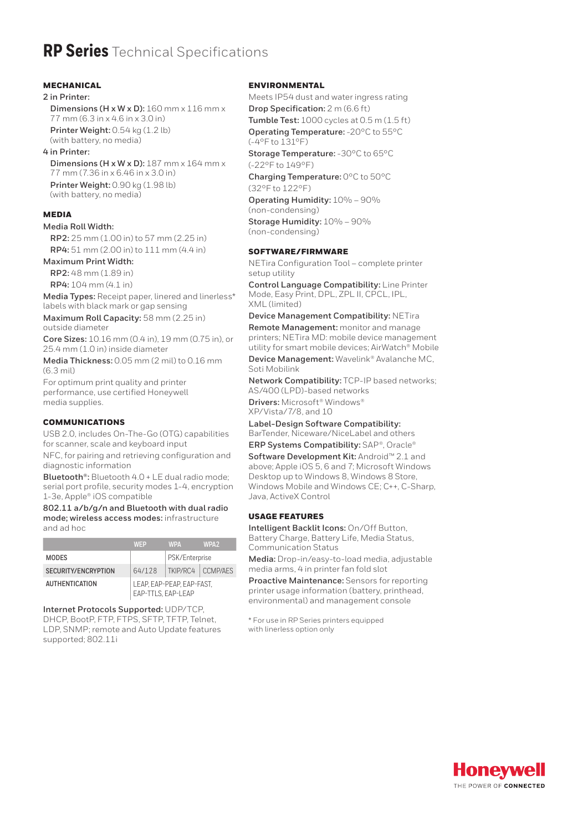# **RP Series** Technical Specifications

#### **MECHANICAL**

#### **2 in Printer:**

**Dimensions (H x W x D):** 160 mm x 116 mm x 77 mm (6.3 in x 4.6 in x 3.0 in) **Printer Weight:** 0.54 kg (1.2 lb)

(with battery, no media)

### **4 in Printer:**

**Dimensions (H x W x D):** 187 mm x 164 mm x 77 mm (7.36 in x 6.46 in x 3.0 in) **Printer Weight:** 0.90 kg (1.98 lb) (with battery, no media)

## MEDIA

#### **Media Roll Width:**

**RP2:** 25 mm (1.00 in) to 57 mm (2.25 in) **RP4:** 51 mm (2.00 in) to 111 mm (4.4 in)

## **Maximum Print Width:**

**RP2:** 48 mm (1.89 in) **RP4:** 104 mm (4.1 in)

**Media Types:** Receipt paper, linered and linerless\* labels with black mark or gap sensing

**Maximum Roll Capacity:** 58 mm (2.25 in) outside diameter

**Core Sizes:** 10.16 mm (0.4 in), 19 mm (0.75 in), or 25.4 mm (1.0 in) inside diameter

**Media Thickness:** 0.05 mm (2 mil) to 0.16 mm (6.3 mil)

For optimum print quality and printer performance, use certified Honeywell media supplies.

## COMMUNICATIONS

USB 2.0, includes On-The-Go (OTG) capabilities for scanner, scale and keyboard input

NFC, for pairing and retrieving configuration and diagnostic information

**Bluetooth®:** Bluetooth 4.0 + LE dual radio mode; serial port profile, security modes 1-4, encryption 1-3e, Apple® iOS compatible

**802.11 a/b/g/n and Bluetooth with dual radio mode; wireless access modes:** infrastructure and ad hoc

|                       | WFP                                             | <b>WPA</b>        | WPA <sub>2</sub> |
|-----------------------|-------------------------------------------------|-------------------|------------------|
| <b>MODES</b>          |                                                 | PSK/Enterprise    |                  |
| SECURITY/ENCRYPTION   | 64/128                                          | TKIP/RC4 CCMP/AFS |                  |
| <b>AUTHENTICATION</b> | LEAP. EAP-PEAP. EAP-FAST.<br>EAP-TTLS, EAP-LEAP |                   |                  |

**Internet Protocols Supported:** UDP/TCP, DHCP, BootP, FTP, FTPS, SFTP, TFTP, Telnet, LDP, SNMP; remote and Auto Update features supported; 802.11i

#### **ENVIRONMENTAL**

Meets IP54 dust and water ingress rating **Drop Specification:** 2 m (6.6 ft) **Tumble Test:** 1000 cycles at 0.5 m (1.5 ft) **Operating Temperature:** -20°C to 55°C (-4°F to 131°F) **Storage Temperature:** -30°C to 65°C

(-22°F to 149°F)

**Charging Temperature:** 0°C to 50°C (32°F to 122°F)

**Operating Humidity:** 10% – 90% (non-condensing)

**Storage Humidity:** 10% – 90% (non-condensing)

#### SOFTWARE/FIRMWARE

NETira Configuration Tool – complete printer setup utility

**Control Language Compatibility:** Line Printer Mode, Easy Print, DPL, ZPL II, CPCL, IPL, XML (limited)

**Device Management Compatibility:** NETira **Remote Management:** monitor and manage printers; NETira MD: mobile device management utility for smart mobile devices; AirWatch® Mobile

**Device Management:** Wavelink® Avalanche MC, Soti Mobilink

**Network Compatibility:** TCP-IP based networks; AS/400 (LPD)-based networks

**Drivers:** Microsoft® Windows® XP/Vista/7/8, and 10

**Label-Design Software Compatibility:** BarTender, Niceware/NiceLabel and others

**ERP Systems Compatibility:** SAP®, Oracle®

**Software Development Kit:** Android™ 2.1 and above; Apple iOS 5, 6 and 7; Microsoft Windows Desktop up to Windows 8, Windows 8 Store, Windows Mobile and Windows CE; C++, C-Sharp, Java, ActiveX Control

### USAGE FEATURES

**Intelligent Backlit Icons:** On/Off Button, Battery Charge, Battery Life, Media Status, Communication Status

**Media:** Drop-in/easy-to-load media, adjustable media arms, 4 in printer fan fold slot

**Proactive Maintenance:** Sensors for reporting printer usage information (battery, printhead, environmental) and management console

\* For use in RP Series printers equipped with linerless option only